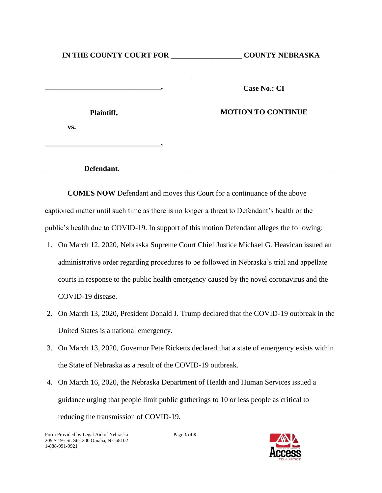## **IN THE COUNTY COURT FOR \_\_\_\_\_\_\_\_\_\_\_\_\_\_\_\_\_\_\_ COUNTY NEBRASKA**

|     | Plaintiff, |  |
|-----|------------|--|
| VS. |            |  |
|     |            |  |

**Case No.: CI**

## **MOTION TO CONTINUE**

 **Defendant.**

**COMES NOW** Defendant and moves this Court for a continuance of the above captioned matter until such time as there is no longer a threat to Defendant's health or the public's health due to COVID-19. In support of this motion Defendant alleges the following:

- 1. On March 12, 2020, Nebraska Supreme Court Chief Justice Michael G. Heavican issued an administrative order regarding procedures to be followed in Nebraska's trial and appellate courts in response to the public health emergency caused by the novel coronavirus and the COVID-19 disease.
- 2. On March 13, 2020, President Donald J. Trump declared that the COVID-19 outbreak in the United States is a national emergency.
- 3. On March 13, 2020, Governor Pete Ricketts declared that a state of emergency exists within the State of Nebraska as a result of the COVID-19 outbreak.
- 4. On March 16, 2020, the Nebraska Department of Health and Human Services issued a guidance urging that people limit public gatherings to 10 or less people as critical to reducing the transmission of COVID-19.

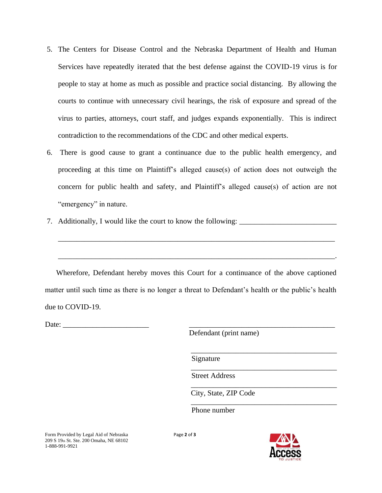- 5. The Centers for Disease Control and the Nebraska Department of Health and Human Services have repeatedly iterated that the best defense against the COVID-19 virus is for people to stay at home as much as possible and practice social distancing. By allowing the courts to continue with unnecessary civil hearings, the risk of exposure and spread of the virus to parties, attorneys, court staff, and judges expands exponentially. This is indirect contradiction to the recommendations of the CDC and other medical experts.
- 6. There is good cause to grant a continuance due to the public health emergency, and proceeding at this time on Plaintiff's alleged cause(s) of action does not outweigh the concern for public health and safety, and Plaintiff's alleged cause(s) of action are not "emergency" in nature.
- 7. Additionally, I would like the court to know the following:

Wherefore, Defendant hereby moves this Court for a continuance of the above captioned matter until such time as there is no longer a threat to Defendant's health or the public's health due to COVID-19.

\_\_\_\_\_\_\_\_\_\_\_\_\_\_\_\_\_\_\_\_\_\_\_\_\_\_\_\_\_\_\_\_\_\_\_\_\_\_\_\_\_\_\_\_\_\_\_\_\_\_\_\_\_\_\_\_\_\_\_\_\_\_\_\_\_\_\_\_\_\_\_\_\_\_

\_\_\_\_\_\_\_\_\_\_\_\_\_\_\_\_\_\_\_\_\_\_\_\_\_\_\_\_\_\_\_\_\_\_\_\_\_\_\_\_\_\_\_\_\_\_\_\_\_\_\_\_\_\_\_\_\_\_\_\_\_\_\_\_\_\_\_\_\_\_\_\_\_\_.

Date:  $\Box$ 

Defendant (print name)

Signature

Street Address

City, State, ZIP Code

Phone number

Page **2** of **3**



\_\_\_\_\_\_\_\_\_\_\_\_\_\_\_\_\_\_\_\_\_\_\_\_\_\_\_\_\_\_\_\_\_\_\_\_\_\_\_

\_\_\_\_\_\_\_\_\_\_\_\_\_\_\_\_\_\_\_\_\_\_\_\_\_\_\_\_\_\_\_\_\_\_\_\_\_\_\_

\_\_\_\_\_\_\_\_\_\_\_\_\_\_\_\_\_\_\_\_\_\_\_\_\_\_\_\_\_\_\_\_\_\_\_\_\_\_\_

\_\_\_\_\_\_\_\_\_\_\_\_\_\_\_\_\_\_\_\_\_\_\_\_\_\_\_\_\_\_\_\_\_\_\_\_\_\_\_